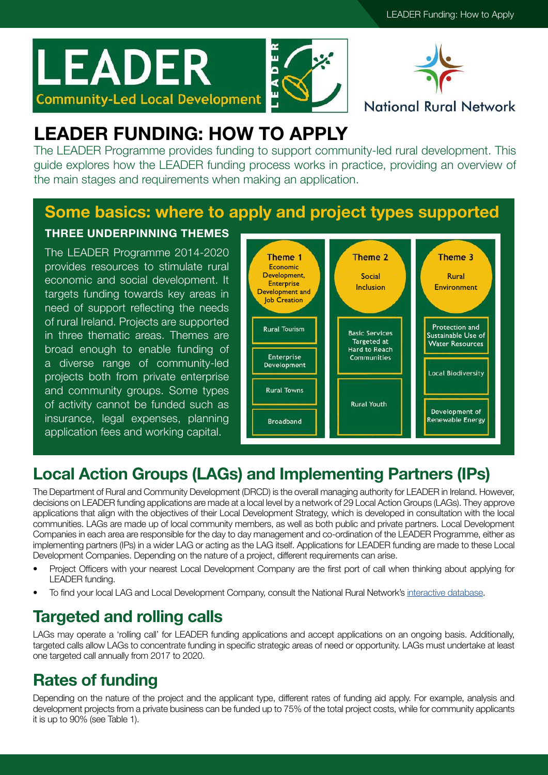# **LEADER Community-Led Local Development**





### **National Rural Network**

# LEADER FUNDING: HOW TO APPLY

The LEADER Programme provides funding to support community-led rural development. This guide explores how the LEADER funding process works in practice, providing an overview of the main stages and requirements when making an application.

# Some basics: where to apply and project types supported

THREE UNDERPINNING THEMES

The LEADER Programme 2014-2020 provides resources to stimulate rural economic and social development. It targets funding towards key areas in need of support reflecting the needs of rural Ireland. Projects are supported in three thematic areas. Themes are broad enough to enable funding of a diverse range of community-led projects both from private enterprise and community groups. Some types of activity cannot be funded such as insurance, legal expenses, planning application fees and working capital.



# Local Action Groups (LAGs) and Implementing Partners (IPs)

The Department of Rural and Community Development (DRCD) is the overall managing authority for LEADER in Ireland. However, decisions on LEADER funding applications are made at a local level by a network of 29 Local Action Groups (LAGs). They approve applications that align with the objectives of their Local Development Strategy, which is developed in consultation with the local communities. LAGs are made up of local community members, as well as both public and private partners. Local Development Companies in each area are responsible for the day to day management and co-ordination of the LEADER Programme, either as implementing partners (IPs) in a wider LAG or acting as the LAG itself. Applications for LEADER funding are made to these Local Development Companies. Depending on the nature of a project, different requirements can arise.

- Project Officers with your nearest Local Development Company are the first port of call when thinking about applying for LEADER funding.
- To find your local LAG and Local Development Company, consult the National Rural Network's [interactive database.](https://www.nationalruralnetwork.ie/leader/local-action-groups/)

# Targeted and rolling calls

LAGs may operate a 'rolling call' for LEADER funding applications and accept applications on an ongoing basis. Additionally, targeted calls allow LAGs to concentrate funding in specific strategic areas of need or opportunity. LAGs must undertake at least one targeted call annually from 2017 to 2020.

# Rates of funding

Depending on the nature of the project and the applicant type, different rates of funding aid apply. For example, analysis and development projects from a private business can be funded up to 75% of the total project costs, while for community applicants it is up to 90% (see Table 1).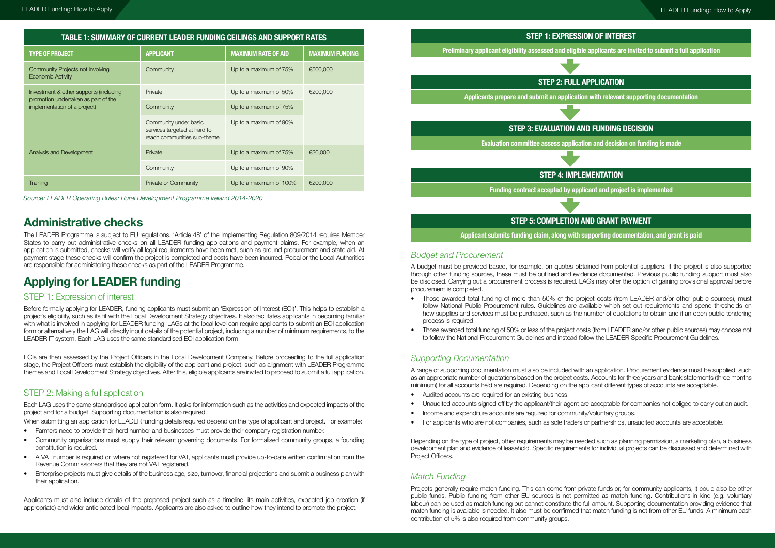Source: LEADER Operating Rules: Rural Development Programme Ireland 2014-2020

| <b>TABLE 1: SUMMARY OF CURRENT LEADER FUNDING CEILINGS AND SUPPORT RATES</b> |                  |                            |                 |  |
|------------------------------------------------------------------------------|------------------|----------------------------|-----------------|--|
| TYPE OF PROJECT                                                              | <b>APPLICANT</b> | <b>MAXIMUM RATE OF AID</b> | MAXIMUM FUNDING |  |
| Community Projects not involving                                             | Community        | Up to a maximum of 75%     | €500,000        |  |

| Economic Activity                                                                                             |                                                                                      |                         |          |
|---------------------------------------------------------------------------------------------------------------|--------------------------------------------------------------------------------------|-------------------------|----------|
| Investment & other supports (including<br>promotion undertaken as part of the<br>implementation of a project) | Private                                                                              | Up to a maximum of 50%  | €200,000 |
|                                                                                                               | Community                                                                            | Up to a maximum of 75%  |          |
|                                                                                                               | Community under basic<br>services targeted at hard to<br>reach communities sub-theme | Up to a maximum of 90%  |          |
| Analysis and Development                                                                                      | Private                                                                              | Up to a maximum of 75%  | €30,000  |
|                                                                                                               | Community                                                                            | Up to a maximum of 90%  |          |
| <b>Training</b>                                                                                               | Private or Community                                                                 | Up to a maximum of 100% | €200,000 |

### Administrative checks

The LEADER Programme is subject to EU regulations. 'Article 48' of the Implementing Regulation 809/2014 requires Member States to carry out administrative checks on all LEADER funding applications and payment claims. For example, when an application is submitted, checks will verify all legal requirements have been met, such as around procurement and state aid. At payment stage these checks will confirm the project is completed and costs have been incurred. Pobal or the Local Authorities are responsible for administering these checks as part of the LEADER Programme.

# Applying for LEADER funding

#### STEP 1: Expression of interest

Before formally applying for LEADER, funding applicants must submit an 'Expression of Interest (EOI)'. This helps to establish a project's eligibility, such as its fit with the Local Development Strategy objectives. It also facilitates applicants in becoming familiar with what is involved in applying for LEADER funding. LAGs at the local level can require applicants to submit an EOI application form or alternatively the LAG will directly input details of the potential project, including a number of minimum requirements, to the LEADER IT system. Each LAG uses the same standardised EOI application form.

EOIs are then assessed by the Project Officers in the Local Development Company. Before proceeding to the full application stage, the Project Officers must establish the eligibility of the applicant and project, such as alignment with LEADER Programme themes and Local Development Strategy objectives. After this, eligible applicants are invited to proceed to submit a full application.

#### STEP 2: Making a full application

Each LAG uses the same standardised application form. It asks for information such as the activities and expected impacts of the project and for a budget. Supporting documentation is also required.

When submitting an application for LEADER funding details required depend on the type of applicant and project. For example:

- Farmers need to provide their herd number and businesses must provide their company registration number.
- Community organisations must supply their relevant governing documents. For formalised community groups, a founding constitution is required.
- A VAT number is required or, where not registered for VAT, applicants must provide up-to-date written confirmation from the Revenue Commissioners that they are not VAT registered.
- Enterprise projects must give details of the business age, size, turnover, financial projections and submit a business plan with their application.

Applicants must also include details of the proposed project such as a timeline, its main activities, expected job creation (if appropriate) and wider anticipated local impacts. Applicants are also asked to outline how they intend to promote the project.

#### Budget and Procurement

A budget must be provided based, for example, on quotes obtained from potential suppliers. If the project is also supported through other funding sources, these must be outlined and evidence documented. Previous public funding support must also be disclosed. Carrying out a procurement process is required. LAGs may offer the option of gaining provisional approval before procurement is completed.

follow National Public Procurement rules. Guidelines are available which set out requirements and spend thresholds on how supplies and services must be purchased, such as the number of quotations to obtain and if an open public tendering

- Those awarded total funding of more than 50% of the project costs (from LEADER and/or other public sources), must process is required.
- to follow the National Procurement Guidelines and instead follow the LEADER Specific Procurement Guidelines.

• Those awarded total funding of 50% or less of the project costs (from LEADER and/or other public sources) may choose not

#### Supporting Documentation

A range of supporting documentation must also be included with an application. Procurement evidence must be supplied, such as an appropriate number of quotations based on the project costs. Accounts for three years and bank statements (three months minimum) for all accounts held are required. Depending on the applicant different types of accounts are acceptable.

• Unaudited accounts signed off by the applicant/their agent are acceptable for companies not obliged to carry out an audit.

- Audited accounts are required for an existing business.
- 
- Income and expenditure accounts are required for community/voluntary groups.
- For applicants who are not companies, such as sole traders or partnerships, unaudited accounts are acceptable.

Depending on the type of project, other requirements may be needed such as planning permission, a marketing plan, a business development plan and evidence of leasehold. Specific requirements for individual projects can be discussed and determined with Project Officers.

#### Match Funding

Projects generally require match funding. This can come from private funds or, for community applicants, it could also be other public funds. Public funding from other EU sources is not permitted as match funding. Contributions-in-kind (e.g. voluntary labour) can be used as match funding but cannot constitute the full amount. Supporting documentation providing evidence that match funding is available is needed. It also must be confirmed that match funding is not from other EU funds. A minimum cash contribution of 5% is also required from community groups.

# STEP 1: EXPRESSION OF INTEREST Preliminary applicant eligibility assessed and eligible applicants are invited to submit a full application STEP 2: FULL APPLICATION Applicants prepare and submit an application with relevant supporting documentation STEP 3: EVALUATION AND FUNDING DECISION Evaluation committee assess application and decision on funding is made STEP 4: IMPLEMENTATION Funding contract accepted by applicant and project is implemented STEP 5: COMPLETION AND GRANT PAYMENT

Applicant submits funding claim, along with supporting documentation, and grant is paid